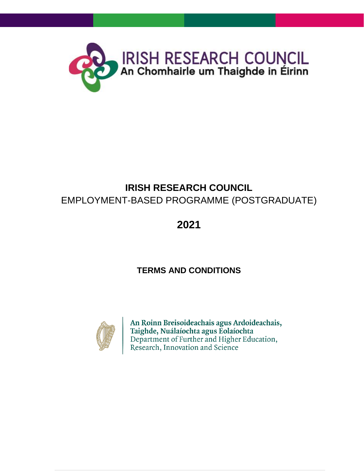

# **IRISH RESEARCH COUNCIL** EMPLOYMENT-BASED PROGRAMME (POSTGRADUATE)

**2021**

# **TERMS AND CONDITIONS**



An Roinn Breisoideachais agus Ardoideachais, Taighde, Nuálaíochta agus Eolaíochta Department of Further and Higher Education, Research, Innovation and Science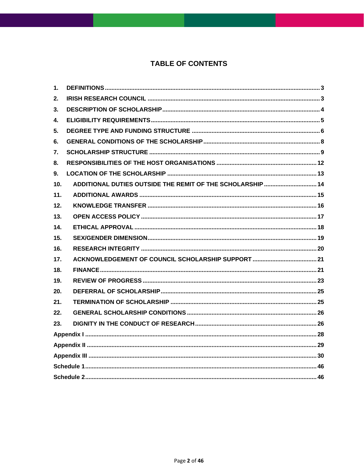## **TABLE OF CONTENTS**

| 1.              |                                                            |  |  |
|-----------------|------------------------------------------------------------|--|--|
| 2.              |                                                            |  |  |
| 3.              |                                                            |  |  |
| 4.              |                                                            |  |  |
| 5.              |                                                            |  |  |
| 6.              |                                                            |  |  |
| 7.              |                                                            |  |  |
| 8.              |                                                            |  |  |
| 9.              |                                                            |  |  |
| 10 <sub>1</sub> | ADDITIONAL DUTIES OUTSIDE THE REMIT OF THE SCHOLARSHIP  14 |  |  |
| 11.             |                                                            |  |  |
| 12.             |                                                            |  |  |
| 13.             |                                                            |  |  |
| 14.             |                                                            |  |  |
| 15.             |                                                            |  |  |
| 16.             |                                                            |  |  |
| 17.             |                                                            |  |  |
| 18.             |                                                            |  |  |
| 19.             |                                                            |  |  |
| 20.             |                                                            |  |  |
| 21.             |                                                            |  |  |
| 22.             |                                                            |  |  |
| 23.             |                                                            |  |  |
|                 |                                                            |  |  |
|                 |                                                            |  |  |
|                 |                                                            |  |  |
|                 |                                                            |  |  |
|                 |                                                            |  |  |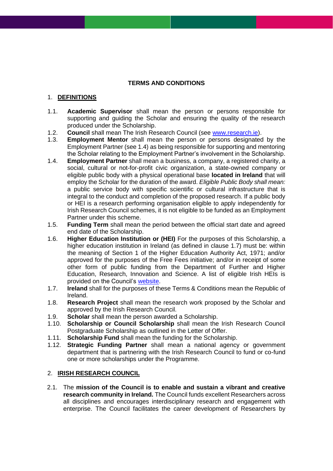### **TERMS AND CONDITIONS**

### <span id="page-2-0"></span>1. **DEFINITIONS**

- 1.1. **Academic Supervisor** shall mean the person or persons responsible for supporting and guiding the Scholar and ensuring the quality of the research produced under the Scholarship.
- 1.2. **Council** shall mean The Irish Research Council (see [www.research.ie\)](http://www.research.ie/).
- 1.3. **Employment Mentor** shall mean the person or persons designated by the Employment Partner (see 1.4) as being responsible for supporting and mentoring the Scholar relating to the Employment Partner's involvement in the Scholarship.
- 1.4. **Employment Partner** shall mean a business, a company, a registered charity, a social, cultural or not-for-profit civic organization, a state-owned company or eligible public body with a physical operational base **located in Ireland** that will employ the Scholar for the duration of the award. *Eligible Public Body shall mean:* a public service body with specific scientific or cultural infrastructure that is integral to the conduct and completion of the proposed research. If a public body or HEI is a research performing organisation eligible to apply independently for Irish Research Council schemes, it is not eligible to be funded as an Employment Partner under this scheme.
- 1.5. **Funding Term** shall mean the period between the official start date and agreed end date of the Scholarship.
- 1.6. **Higher Education Institution or (HEI)** For the purposes of this Scholarship, a higher education institution in Ireland (as defined in clause 1.7) must be: within the meaning of Section 1 of the Higher Education Authority Act, 1971; and/or approved for the purposes of the Free Fees initiative; and/or in receipt of some other form of public funding from the Department of Further and Higher Education, Research, Innovation and Science. A list of eligible Irish HEIs is provided on the Council's [website.](http://research.ie/funding/eligible-higher-education-institutions-and-research-performing-organisations/)
- 1.7. **Ireland** shall for the purposes of these Terms & Conditions mean the Republic of Ireland.
- 1.8. **Research Project** shall mean the research work proposed by the Scholar and approved by the Irish Research Council.
- 1.9. **Scholar** shall mean the person awarded a Scholarship.
- 1.10. **Scholarship or Council Scholarship** shall mean the Irish Research Council Postgraduate Scholarship as outlined in the Letter of Offer.
- 1.11. **Scholarship Fund** shall mean the funding for the Scholarship.
- <span id="page-2-1"></span>1.12. **Strategic Funding Partner** shall mean a national agency or government department that is partnering with the Irish Research Council to fund or co-fund one or more scholarships under the Programme.

### 2. **IRISH RESEARCH COUNCIL**

2.1. The **mission of the Council is to enable and sustain a vibrant and creative research community in Ireland.** The Council funds excellent Researchers across all disciplines and encourages interdisciplinary research and engagement with enterprise. The Council facilitates the career development of Researchers by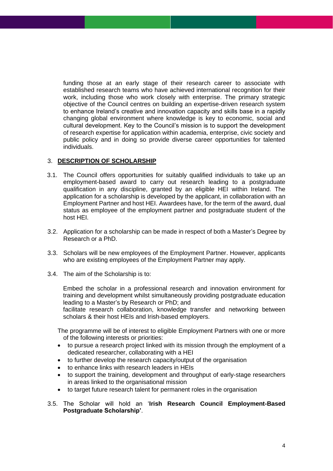funding those at an early stage of their research career to associate with established research teams who have achieved international recognition for their work, including those who work closely with enterprise. The primary strategic objective of the Council centres on building an expertise-driven research system to enhance Ireland's creative and innovation capacity and skills base in a rapidly changing global environment where knowledge is key to economic, social and cultural development. Key to the Council's mission is to support the development of research expertise for application within academia, enterprise, civic society and public policy and in doing so provide diverse career opportunities for talented individuals.

### <span id="page-3-0"></span>3. **DESCRIPTION OF SCHOLARSHIP**

- 3.1. The Council offers opportunities for suitably qualified individuals to take up an employment-based award to carry out research leading to a postgraduate qualification in any discipline, granted by an eligible HEI within Ireland. The application for a scholarship is developed by the applicant, in collaboration with an Employment Partner and host HEI. Awardees have, for the term of the award, dual status as employee of the employment partner and postgraduate student of the host HEI.
- 3.2. Application for a scholarship can be made in respect of both a Master's Degree by Research or a PhD.
- 3.3. Scholars will be new employees of the Employment Partner. However, applicants who are existing employees of the Employment Partner may apply.
- 3.4. The aim of the Scholarship is to:

Embed the scholar in a professional research and innovation environment for training and development whilst simultaneously providing postgraduate education leading to a Master's by Research or PhD; and

facilitate research collaboration, knowledge transfer and networking between scholars & their host HEIs and Irish-based employers.

The programme will be of interest to eligible Employment Partners with one or more of the following interests or priorities:

- to pursue a research project linked with its mission through the employment of a dedicated researcher, collaborating with a HEI
- to further develop the research capacity/output of the organisation
- to enhance links with research leaders in HEIs
- to support the training, development and throughput of early-stage researchers in areas linked to the organisational mission
- to target future research talent for permanent roles in the organisation
- 3.5. The Scholar will hold an '**Irish Research Council Employment-Based Postgraduate Scholarship'**.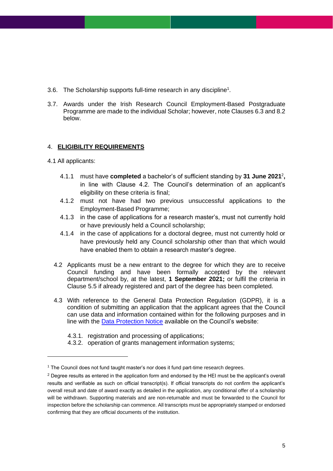- 3.6. The Scholarship supports full-time research in any discipline<sup>1</sup>.
- <span id="page-4-0"></span>3.7. Awards under the Irish Research Council Employment-Based Postgraduate Programme are made to the individual Scholar; however, note Clauses 6.3 and 8.2 below.

### 4. **ELIGIBILITY REQUIREMENTS**

- 4.1 All applicants:
	- 4.1.1 must have **completed** a bachelor's of sufficient standing by **31 June 2021**<sup>2</sup> **,**  in line with Clause 4.2. The Council's determination of an applicant's eligibility on these criteria is final;
	- 4.1.2 must not have had two previous unsuccessful applications to the Employment-Based Programme;
	- 4.1.3 in the case of applications for a research master's, must not currently hold or have previously held a Council scholarship;
	- 4.1.4 in the case of applications for a doctoral degree, must not currently hold or have previously held any Council scholarship other than that which would have enabled them to obtain a research master's degree.
	- 4.2 Applicants must be a new entrant to the degree for which they are to receive Council funding and have been formally accepted by the relevant department/school by, at the latest, **1 September 2021;** or fulfil the criteria in Clause 5.5 if already registered and part of the degree has been completed.
	- 4.3 With reference to the General Data Protection Regulation (GDPR), it is a condition of submitting an application that the applicant agrees that the Council can use data and information contained within for the following purposes and in line with the [Data Protection Notice](http://research.ie/privacy-and-data-protection/) available on the Council's website:
		- 4.3.1. registration and processing of applications;
		- 4.3.2. operation of grants management information systems;

<sup>1</sup> The Council does not fund taught master's nor does it fund part-time research degrees.

 $2$  Degree results as entered in the application form and endorsed by the HEI must be the applicant's overall results and verifiable as such on official transcript(s). If official transcripts do not confirm the applicant's overall result and date of award exactly as detailed in the application, any conditional offer of a scholarship will be withdrawn. Supporting materials and are non-returnable and must be forwarded to the Council for inspection before the scholarship can commence. All transcripts must be appropriately stamped or endorsed confirming that they are official documents of the institution.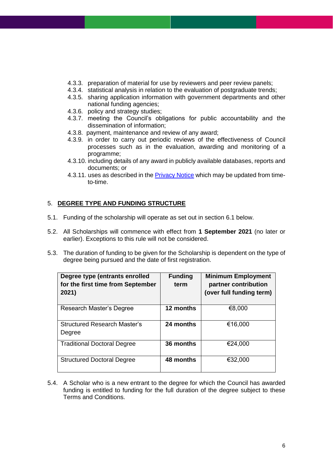- 4.3.3. preparation of material for use by reviewers and peer review panels;
- 4.3.4. statistical analysis in relation to the evaluation of postgraduate trends;
- 4.3.5. sharing application information with government departments and other national funding agencies;
- 4.3.6. policy and strategy studies;
- 4.3.7. meeting the Council's obligations for public accountability and the dissemination of information;
- 4.3.8. payment, maintenance and review of any award;
- 4.3.9. in order to carry out periodic reviews of the effectiveness of Council processes such as in the evaluation, awarding and monitoring of a programme;
- 4.3.10. including details of any award in publicly available databases, reports and documents; or
- <span id="page-5-0"></span>4.3.11. uses as described in the [Privacy Notice](http://research.ie/privacy-and-data-protection/) which may be updated from timeto-time.

### 5. **DEGREE TYPE AND FUNDING STRUCTURE**

- 5.1. Funding of the scholarship will operate as set out in section 6.1 below.
- 5.2. All Scholarships will commence with effect from **1 September 2021** (no later or earlier). Exceptions to this rule will not be considered.
- 5.3. The duration of funding to be given for the Scholarship is dependent on the type of degree being pursued and the date of first registration.

| Degree type (entrants enrolled<br>for the first time from September<br>2021) | <b>Funding</b><br>term | <b>Minimum Employment</b><br>partner contribution<br>(over full funding term) |
|------------------------------------------------------------------------------|------------------------|-------------------------------------------------------------------------------|
| Research Master's Degree                                                     | 12 months              | €8,000                                                                        |
| <b>Structured Research Master's</b><br>Degree                                | 24 months              | €16,000                                                                       |
| <b>Traditional Doctoral Degree</b>                                           | 36 months              | €24,000                                                                       |
| <b>Structured Doctoral Degree</b>                                            | 48 months              | €32,000                                                                       |

5.4. A Scholar who is a new entrant to the degree for which the Council has awarded funding is entitled to funding for the full duration of the degree subject to these Terms and Conditions.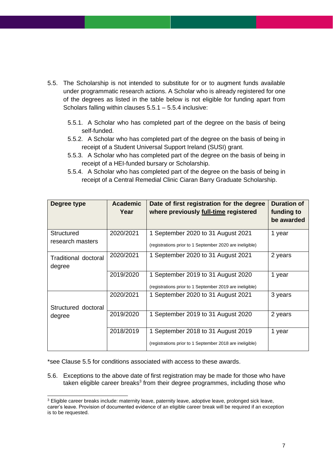- 5.5. The Scholarship is not intended to substitute for or to augment funds available under programmatic research actions. A Scholar who is already registered for one of the degrees as listed in the table below is not eligible for funding apart from Scholars falling within clauses 5.5.1 – 5.5.4 inclusive:
	- 5.5.1. A Scholar who has completed part of the degree on the basis of being self-funded.
	- 5.5.2. A Scholar who has completed part of the degree on the basis of being in receipt of a Student Universal Support Ireland (SUSI) grant.
	- 5.5.3. A Scholar who has completed part of the degree on the basis of being in receipt of a HEI-funded bursary or Scholarship.
	- 5.5.4. A Scholar who has completed part of the degree on the basis of being in receipt of a Central Remedial Clinic Ciaran Barry Graduate Scholarship.

| Degree type                           | <b>Academic</b><br>Year | Date of first registration for the degree<br>where previously full-time registered             | <b>Duration of</b><br>funding to<br>be awarded |
|---------------------------------------|-------------------------|------------------------------------------------------------------------------------------------|------------------------------------------------|
| <b>Structured</b><br>research masters | 2020/2021               | 1 September 2020 to 31 August 2021<br>(registrations prior to 1 September 2020 are ineligible) | 1 year                                         |
| <b>Traditional doctoral</b><br>degree | 2020/2021               | 1 September 2020 to 31 August 2021                                                             | 2 years                                        |
|                                       | 2019/2020               | 1 September 2019 to 31 August 2020<br>(registrations prior to 1 September 2019 are ineligible) | 1 year                                         |
| Structured doctoral                   | 2020/2021               | 1 September 2020 to 31 August 2021                                                             | 3 years                                        |
| degree                                | 2019/2020               | 1 September 2019 to 31 August 2020                                                             | 2 years                                        |
|                                       | 2018/2019               | September 2018 to 31 August 2019<br>(registrations prior to 1 September 2018 are ineligible)   | 1 year                                         |

\*see Clause 5.5 for conditions associated with access to these awards.

5.6. Exceptions to the above date of first registration may be made for those who have taken eligible career breaks<sup>3</sup> from their degree programmes, including those who

<sup>&</sup>lt;sup>3</sup> Eligible career breaks include: maternity leave, paternity leave, adoptive leave, prolonged sick leave, carer's leave. Provision of documented evidence of an eligible career break will be required if an exception is to be requested.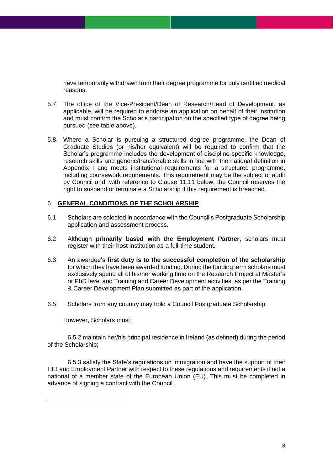have temporarily withdrawn from their degree programme for duly certified medical reasons.

- 5.7. The office of the Vice-President/Dean of Research/Head of Development, as applicable, will be required to endorse an application on behalf of their institution and must confirm the Scholar's participation on the specified type of degree being pursued (see table above).
- 5.8. Where a Scholar is pursuing a structured degree programme, the Dean of Graduate Studies (or his/her equivalent) will be required to confirm that the Scholar's programme includes the development of discipline-specific knowledge, research skills and generic/transferable skills in line with the national definition in Appendix I and meets institutional requirements for a structured programme, including coursework requirements. This requirement may be the subject of audit by Council and, with reference to Clause 11.11 below, the Council reserves the right to suspend or terminate a Scholarship if this requirement is breached.

### <span id="page-7-0"></span>6. **GENERAL CONDITIONS OF THE SCHOLARSHIP**

- 6.1 Scholars are selected in accordance with the Council's Postgraduate Scholarship application and assessment process.
- 6.2 Although **primarily based with the Employment Partner**, scholars must register with their host institution as a full-time student.
- 6.3 An awardee's **first duty is to the successful completion of the scholarship** for which they have been awarded funding. During the funding term scholars must exclusively spend all of his/her working time on the Research Project at Master's or PhD level and Training and Career Development activities, as per the Training & Career Development Plan submitted as part of the application.
- 6.5 Scholars from any country may hold a Council Postgraduate Scholarship.

However, Scholars must:

6.5.2 maintain her/his principal residence in Ireland (as defined) during the period of the Scholarship;

6.5.3 satisfy the State's regulations on immigration and have the support of their HEI and Employment Partner with respect to these regulations and requirements if not a national of a member state of the European Union (EU). This must be completed in advance of signing a contract with the Council.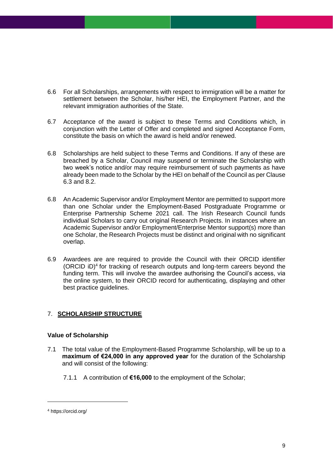- 6.6 For all Scholarships, arrangements with respect to immigration will be a matter for settlement between the Scholar, his/her HEI, the Employment Partner, and the relevant immigration authorities of the State.
- 6.7 Acceptance of the award is subject to these Terms and Conditions which, in conjunction with the Letter of Offer and completed and signed Acceptance Form, constitute the basis on which the award is held and/or renewed.
- 6.8 Scholarships are held subject to these Terms and Conditions. If any of these are breached by a Scholar, Council may suspend or terminate the Scholarship with two week's notice and/or may require reimbursement of such payments as have already been made to the Scholar by the HEI on behalf of the Council as per Clause 6.3 and 8.2.
- 6.8 An Academic Supervisor and/or Employment Mentor are permitted to support more than one Scholar under the Employment-Based Postgraduate Programme or Enterprise Partnership Scheme 2021 call. The Irish Research Council funds individual Scholars to carry out original Research Projects. In instances where an Academic Supervisor and/or Employment/Enterprise Mentor support(s) more than one Scholar, the Research Projects must be distinct and original with no significant overlap.
- <span id="page-8-0"></span>6.9 Awardees are are required to provide the Council with their ORCID identifier (ORCID iD)<sup>4</sup> for tracking of research outputs and long-term careers beyond the funding term. This will involve the awardee authorising the Council's access, via the online system, to their ORCID record for authenticating, displaying and other best practice guidelines.

### 7. **SCHOLARSHIP STRUCTURE**

### **Value of Scholarship**

- 7.1 The total value of the Employment-Based Programme Scholarship, will be up to a **maximum of €24,000 in any approved year** for the duration of the Scholarship and will consist of the following:
	- 7.1.1 A contribution of **€16,000** to the employment of the Scholar;

<sup>4</sup> https://orcid.org/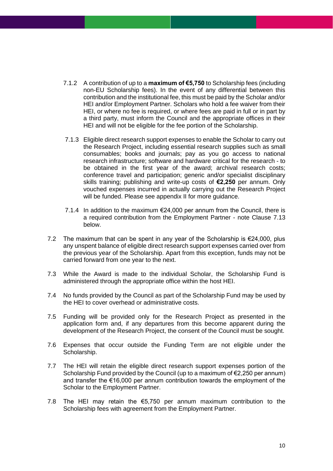- 7.1.2 A contribution of up to a **maximum of €5,750** to Scholarship fees (including non-EU Scholarship fees). In the event of any differential between this contribution and the institutional fee, this must be paid by the Scholar and/or HEI and/or Employment Partner. Scholars who hold a fee waiver from their HEI, or where no fee is required, or where fees are paid in full or in part by a third party, must inform the Council and the appropriate offices in their HEI and will not be eligible for the fee portion of the Scholarship.
- 7.1.3 Eligible direct research support expenses to enable the Scholar to carry out the Research Project, including essential research supplies such as small consumables; books and journals; pay as you go access to national research infrastructure; software and hardware critical for the research - to be obtained in the first year of the award; archival research costs; conference travel and participation; generic and/or specialist disciplinary skills training; publishing and write-up costs of **€2,250** per annum. Only vouched expenses incurred in actually carrying out the Research Project will be funded. Please see appendix II for more guidance.
- 7.1.4 In addition to the maximum  $\epsilon$ 24,000 per annum from the Council, there is a required contribution from the Employment Partner - note Clause 7.13 below.
- 7.2 The maximum that can be spent in any year of the Scholarship is  $\epsilon$ 24,000, plus any unspent balance of eligible direct research support expenses carried over from the previous year of the Scholarship. Apart from this exception, funds may not be carried forward from one year to the next.
- 7.3 While the Award is made to the individual Scholar, the Scholarship Fund is administered through the appropriate office within the host HEI.
- 7.4 No funds provided by the Council as part of the Scholarship Fund may be used by the HEI to cover overhead or administrative costs.
- 7.5 Funding will be provided only for the Research Project as presented in the application form and, if any departures from this become apparent during the development of the Research Project, the consent of the Council must be sought.
- 7.6 Expenses that occur outside the Funding Term are not eligible under the Scholarship.
- 7.7 The HEI will retain the eligible direct research support expenses portion of the Scholarship Fund provided by the Council (up to a maximum of  $\epsilon$ 2,250 per annum) and transfer the €16,000 per annum contribution towards the employment of the Scholar to the Employment Partner.
- 7.8 The HEI may retain the €5,750 per annum maximum contribution to the Scholarship fees with agreement from the Employment Partner.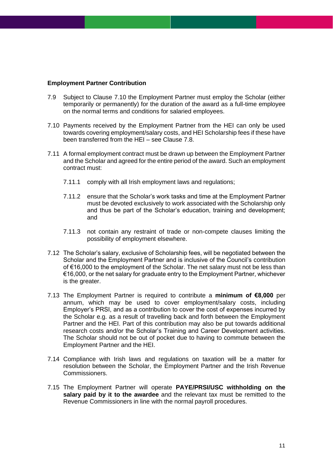#### **Employment Partner Contribution**

- 7.9 Subject to Clause 7.10 the Employment Partner must employ the Scholar (either temporarily or permanently) for the duration of the award as a full-time employee on the normal terms and conditions for salaried employees.
- 7.10 Payments received by the Employment Partner from the HEI can only be used towards covering employment/salary costs, and HEI Scholarship fees if these have been transferred from the HEI – see Clause 7.8.
- 7.11 A formal employment contract must be drawn up between the Employment Partner and the Scholar and agreed for the entire period of the award. Such an employment contract must:
	- 7.11.1 comply with all Irish employment laws and regulations;
	- 7.11.2 ensure that the Scholar's work tasks and time at the Employment Partner must be devoted exclusively to work associated with the Scholarship only and thus be part of the Scholar's education, training and development; and
	- 7.11.3 not contain any restraint of trade or non-compete clauses limiting the possibility of employment elsewhere.
- 7.12 The Scholar's salary, exclusive of Scholarship fees, will be negotiated between the Scholar and the Employment Partner and is inclusive of the Council's contribution of €16,000 to the employment of the Scholar. The net salary must not be less than €16,000, or the net salary for graduate entry to the Employment Partner, whichever is the greater.
- 7.13 The Employment Partner is required to contribute a **minimum of €8,000** per annum, which may be used to cover employment/salary costs, including Employer's PRSI, and as a contribution to cover the cost of expenses incurred by the Scholar e.g. as a result of travelling back and forth between the Employment Partner and the HEI. Part of this contribution may also be put towards additional research costs and/or the Scholar's Training and Career Development activities. The Scholar should not be out of pocket due to having to commute between the Employment Partner and the HEI.
- 7.14 Compliance with Irish laws and regulations on taxation will be a matter for resolution between the Scholar, the Employment Partner and the Irish Revenue Commissioners.
- 7.15 The Employment Partner will operate **PAYE/PRSI/USC withholding on the salary paid by it to the awardee** and the relevant tax must be remitted to the Revenue Commissioners in line with the normal payroll procedures.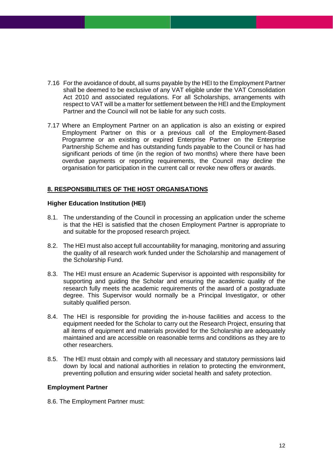- 7.16 For the avoidance of doubt, all sums payable by the HEI to the Employment Partner shall be deemed to be exclusive of any VAT eligible under the VAT Consolidation Act 2010 and associated regulations. For all Scholarships, arrangements with respect to VAT will be a matter for settlement between the HEI and the Employment Partner and the Council will not be liable for any such costs.
- 7.17 Where an Employment Partner on an application is also an existing or expired Employment Partner on this or a previous call of the Employment-Based Programme or an existing or expired Enterprise Partner on the Enterprise Partnership Scheme and has outstanding funds payable to the Council or has had significant periods of time (in the region of two months) where there have been overdue payments or reporting requirements, the Council may decline the organisation for participation in the current call or revoke new offers or awards.

### <span id="page-11-0"></span>**8. RESPONSIBILITIES OF THE HOST ORGANISATIONS**

### **Higher Education Institution (HEI)**

- 8.1. The understanding of the Council in processing an application under the scheme is that the HEI is satisfied that the chosen Employment Partner is appropriate to and suitable for the proposed research project.
- 8.2. The HEI must also accept full accountability for managing, monitoring and assuring the quality of all research work funded under the Scholarship and management of the Scholarship Fund.
- 8.3. The HEI must ensure an Academic Supervisor is appointed with responsibility for supporting and guiding the Scholar and ensuring the academic quality of the research fully meets the academic requirements of the award of a postgraduate degree. This Supervisor would normally be a Principal Investigator, or other suitably qualified person.
- 8.4. The HEI is responsible for providing the in-house facilities and access to the equipment needed for the Scholar to carry out the Research Project, ensuring that all items of equipment and materials provided for the Scholarship are adequately maintained and are accessible on reasonable terms and conditions as they are to other researchers.
- 8.5. The HEI must obtain and comply with all necessary and statutory permissions laid down by local and national authorities in relation to protecting the environment, preventing pollution and ensuring wider societal health and safety protection.

#### **Employment Partner**

8.6. The Employment Partner must: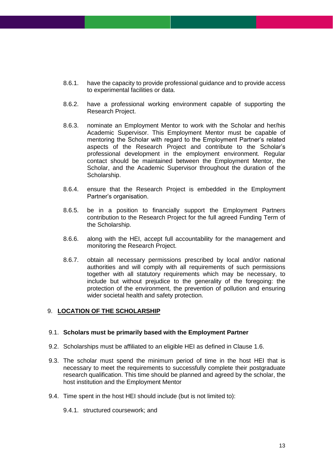- 8.6.1. have the capacity to provide professional guidance and to provide access to experimental facilities or data.
- 8.6.2. have a professional working environment capable of supporting the Research Project.
- 8.6.3. nominate an Employment Mentor to work with the Scholar and her/his Academic Supervisor. This Employment Mentor must be capable of mentoring the Scholar with regard to the Employment Partner's related aspects of the Research Project and contribute to the Scholar's professional development in the employment environment. Regular contact should be maintained between the Employment Mentor, the Scholar, and the Academic Supervisor throughout the duration of the Scholarship.
- 8.6.4. ensure that the Research Project is embedded in the Employment Partner's organisation.
- 8.6.5. be in a position to financially support the Employment Partners contribution to the Research Project for the full agreed Funding Term of the Scholarship.
- 8.6.6. along with the HEI, accept full accountability for the management and monitoring the Research Project.
- 8.6.7. obtain all necessary permissions prescribed by local and/or national authorities and will comply with all requirements of such permissions together with all statutory requirements which may be necessary, to include but without prejudice to the generality of the foregoing: the protection of the environment, the prevention of pollution and ensuring wider societal health and safety protection.

### <span id="page-12-0"></span>9. **LOCATION OF THE SCHOLARSHIP**

#### 9.1. **Scholars must be primarily based with the Employment Partner**

- 9.2. Scholarships must be affiliated to an eligible HEI as defined in Clause 1.6.
- 9.3. The scholar must spend the minimum period of time in the host HEI that is necessary to meet the requirements to successfully complete their postgraduate research qualification. This time should be planned and agreed by the scholar, the host institution and the Employment Mentor
- 9.4. Time spent in the host HEI should include (but is not limited to):
	- 9.4.1. structured coursework; and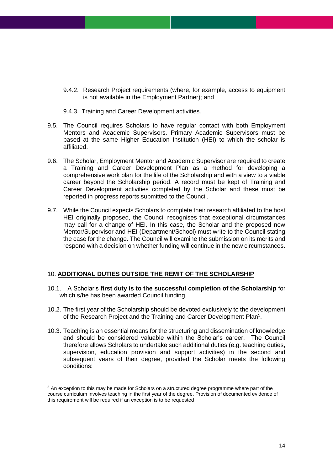- 9.4.2. Research Project requirements (where, for example, access to equipment is not available in the Employment Partner); and
- 9.4.3. Training and Career Development activities.
- 9.5. The Council requires Scholars to have regular contact with both Employment Mentors and Academic Supervisors. Primary Academic Supervisors must be based at the same Higher Education Institution (HEI) to which the scholar is affiliated.
- 9.6. The Scholar, Employment Mentor and Academic Supervisor are required to create a Training and Career Development Plan as a method for developing a comprehensive work plan for the life of the Scholarship and with a view to a viable career beyond the Scholarship period. A record must be kept of Training and Career Development activities completed by the Scholar and these must be reported in progress reports submitted to the Council.
- 9.7. While the Council expects Scholars to complete their research affiliated to the host HEI originally proposed, the Council recognises that exceptional circumstances may call for a change of HEI. In this case, the Scholar and the proposed new Mentor/Supervisor and HEI (Department/School) must write to the Council stating the case for the change. The Council will examine the submission on its merits and respond with a decision on whether funding will continue in the new circumstances.

### <span id="page-13-0"></span>10. **ADDITIONAL DUTIES OUTSIDE THE REMIT OF THE SCHOLARSHIP**

- 10.1. A Scholar's **first duty is to the successful completion of the Scholarship** for which s/he has been awarded Council funding.
- 10.2. The first year of the Scholarship should be devoted exclusively to the development of the Research Project and the Training and Career Development Plan<sup>5</sup>.
- 10.3. Teaching is an essential means for the structuring and dissemination of knowledge and should be considered valuable within the Scholar's career. The Council therefore allows Scholars to undertake such additional duties (e.g. teaching duties, supervision, education provision and support activities) in the second and subsequent years of their degree, provided the Scholar meets the following conditions:

<sup>5</sup> An exception to this may be made for Scholars on a structured degree programme where part of the course curriculum involves teaching in the first year of the degree. Provision of documented evidence of this requirement will be required if an exception is to be requested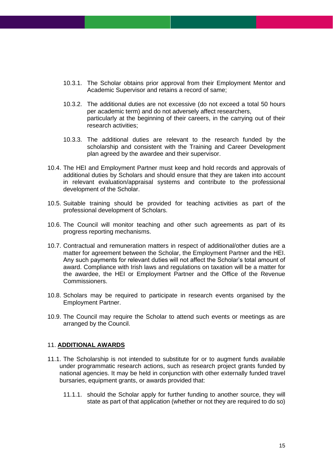- 10.3.1. The Scholar obtains prior approval from their Employment Mentor and Academic Supervisor and retains a record of same;
- 10.3.2. The additional duties are not excessive (do not exceed a total 50 hours per academic term) and do not adversely affect researchers, particularly at the beginning of their careers, in the carrying out of their research activities;
- 10.3.3. The additional duties are relevant to the research funded by the scholarship and consistent with the Training and Career Development plan agreed by the awardee and their supervisor.
- 10.4. The HEI and Employment Partner must keep and hold records and approvals of additional duties by Scholars and should ensure that they are taken into account in relevant evaluation/appraisal systems and contribute to the professional development of the Scholar.
- 10.5. Suitable training should be provided for teaching activities as part of the professional development of Scholars.
- 10.6. The Council will monitor teaching and other such agreements as part of its progress reporting mechanisms.
- 10.7. Contractual and remuneration matters in respect of additional/other duties are a matter for agreement between the Scholar, the Employment Partner and the HEI. Any such payments for relevant duties will not affect the Scholar's total amount of award. Compliance with Irish laws and regulations on taxation will be a matter for the awardee, the HEI or Employment Partner and the Office of the Revenue Commissioners.
- 10.8. Scholars may be required to participate in research events organised by the Employment Partner.
- <span id="page-14-0"></span>10.9. The Council may require the Scholar to attend such events or meetings as are arranged by the Council.

#### 11. **ADDITIONAL AWARDS**

- 11.1. The Scholarship is not intended to substitute for or to augment funds available under programmatic research actions, such as research project grants funded by national agencies. It may be held in conjunction with other externally funded travel bursaries, equipment grants, or awards provided that:
	- 11.1.1. should the Scholar apply for further funding to another source, they will state as part of that application (whether or not they are required to do so)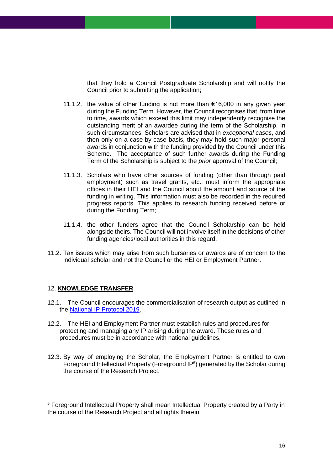that they hold a Council Postgraduate Scholarship and will notify the Council prior to submitting the application;

- 11.1.2. the value of other funding is not more than €16,000 in any given year during the Funding Term. However, the Council recognises that, from time to time, awards which exceed this limit may independently recognise the outstanding merit of an awardee during the term of the Scholarship. In such circumstances, Scholars are advised that in *exceptional cases*, and then only on a case-by-case basis, they may hold such major personal awards in conjunction with the funding provided by the Council under this Scheme. The acceptance of such further awards during the Funding Term of the Scholarship is subject to the *prior* approval of the Council;
- 11.1.3. Scholars who have other sources of funding (other than through paid employment) such as travel grants, etc., must inform the appropriate offices in their HEI and the Council about the amount and source of the funding in writing. This information must also be recorded in the required progress reports. This applies to research funding received before or during the Funding Term;
- 11.1.4. the other funders agree that the Council Scholarship can be held alongside theirs. The Council will not involve itself in the decisions of other funding agencies/local authorities in this regard.
- <span id="page-15-0"></span>11.2. Tax issues which may arise from such bursaries or awards are of concern to the individual scholar and not the Council or the HEI or Employment Partner.

#### 12. **KNOWLEDGE TRANSFER**

- 12.1. The Council encourages the commercialisation of research output as outlined in the [National IP Protocol 2019.](https://www.knowledgetransferireland.com/Reports-Publications/Ireland-s-National-IP-Protocol-2019-.pdf)
- 12.2. The HEI and Employment Partner must establish rules and procedures for protecting and managing any IP arising during the award. These rules and procedures must be in accordance with national guidelines.
- 12.3. By way of employing the Scholar, the Employment Partner is entitled to own Foreground Intellectual Property (Foreground IP<sup>6</sup>) generated by the Scholar during the course of the Research Project.

<sup>&</sup>lt;sup>6</sup> Foreground Intellectual Property shall mean Intellectual Property created by a Party in the course of the Research Project and all rights therein.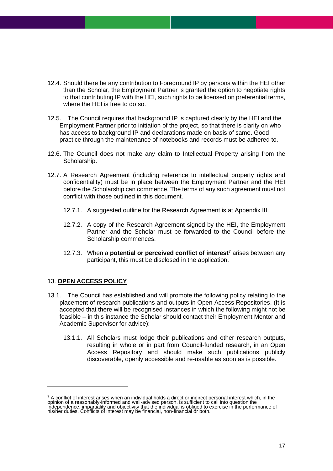- 12.4. Should there be any contribution to Foreground IP by persons within the HEI other than the Scholar, the Employment Partner is granted the option to negotiate rights to that contributing IP with the HEI, such rights to be licensed on preferential terms, where the HEI is free to do so.
- 12.5. The Council requires that background IP is captured clearly by the HEI and the Employment Partner prior to initiation of the project, so that there is clarity on who has access to background IP and declarations made on basis of same. Good practice through the maintenance of notebooks and records must be adhered to.
- 12.6. The Council does not make any claim to Intellectual Property arising from the Scholarship.
- 12.7. A Research Agreement (including reference to intellectual property rights and confidentiality) must be in place between the Employment Partner and the HEI before the Scholarship can commence. The terms of any such agreement must not conflict with those outlined in this document.
	- 12.7.1. A suggested outline for the Research Agreement is at Appendix III.
	- 12.7.2. A copy of the Research Agreement signed by the HEI, the Employment Partner and the Scholar must be forwarded to the Council before the Scholarship commences.
	- 12.7.3. When a **potential or perceived conflict of interest**<sup>7</sup> arises between any participant, this must be disclosed in the application.

### <span id="page-16-0"></span>13. **OPEN ACCESS POLICY**

- 13.1. The Council has established and will promote the following policy relating to the placement of research publications and outputs in Open Access Repositories. (It is accepted that there will be recognised instances in which the following might not be feasible – in this instance the Scholar should contact their Employment Mentor and Academic Supervisor for advice):
	- 13.1.1. All Scholars must lodge their publications and other research outputs, resulting in whole or in part from Council-funded research, in an Open Access Repository and should make such publications publicly discoverable, openly accessible and re-usable as soon as is possible.

<sup>&</sup>lt;sup>7</sup> A conflict of interest arises when an individual holds a direct or indirect personal interest which, in the<br>opinion of a reasonably-informed and well-advised person, is sufficient to call into question the independence, impartiality and objectivity that the individual is obliged to exercise in the performance of his/her duties. Conflicts of interest may be financial, non-financial or both.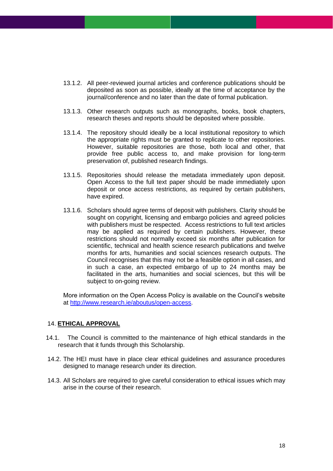- 13.1.2. All peer-reviewed journal articles and conference publications should be deposited as soon as possible, ideally at the time of acceptance by the journal/conference and no later than the date of formal publication.
- 13.1.3. Other research outputs such as monographs, books, book chapters, research theses and reports should be deposited where possible.
- 13.1.4. The repository should ideally be a local institutional repository to which the appropriate rights must be granted to replicate to other repositories. However, suitable repositories are those, both local and other, that provide free public access to, and make provision for long-term preservation of, published research findings.
- 13.1.5. Repositories should release the metadata immediately upon deposit. Open Access to the full text paper should be made immediately upon deposit or once access restrictions, as required by certain publishers, have expired.
- 13.1.6. Scholars should agree terms of deposit with publishers. Clarity should be sought on copyright, licensing and embargo policies and agreed policies with publishers must be respected. Access restrictions to full text articles may be applied as required by certain publishers. However, these restrictions should not normally exceed six months after publication for scientific, technical and health science research publications and twelve months for arts, humanities and social sciences research outputs. The Council recognises that this may not be a feasible option in all cases, and in such a case, an expected embargo of up to 24 months may be facilitated in the arts, humanities and social sciences, but this will be subject to on-going review.

<span id="page-17-0"></span>More information on the Open Access Policy is available on the Council's website at [http://www.research.ie/aboutus/open-access.](http://www.research.ie/aboutus/open-access)

#### 14. **ETHICAL APPROVAL**

- 14.1. The Council is committed to the maintenance of high ethical standards in the research that it funds through this Scholarship.
- 14.2. The HEI must have in place clear ethical guidelines and assurance procedures designed to manage research under its direction.
- 14.3. All Scholars are required to give careful consideration to ethical issues which may arise in the course of their research.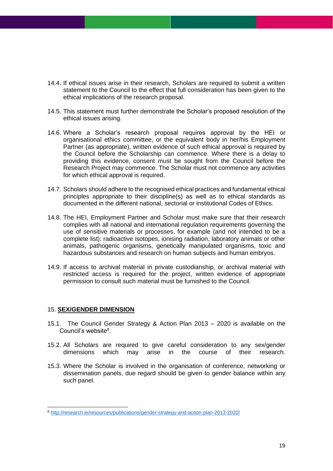- 14.4. If ethical issues arise in their research, Scholars are required to submit a written statement to the Council to the effect that full consideration has been given to the ethical implications of the research proposal.
- 14.5. This statement must further demonstrate the Scholar's proposed resolution of the ethical issues arising.
- 14.6. Where a Scholar's research proposal requires approval by the HEI or organisational ethics committee, or the equivalent body in her/his Employment Partner (as appropriate), written evidence of such ethical approval is required by the Council before the Scholarship can commence. Where there is a delay to providing this evidence, consent must be sought from the Council before the Research Project may commence. The Scholar must not commence any activities for which ethical approval is required.
- 14.7. Scholars should adhere to the recognised ethical practices and fundamental ethical principles appropriate to their discipline(s) as well as to ethical standards as documented in the different national, sectorial or institutional Codes of Ethics.
- 14.8. The HEI, Employment Partner and Scholar must make sure that their research complies with all national and international regulation requirements governing the use of sensitive materials or processes, for example (and not intended to be a complete list): radioactive isotopes, ionising radiation, laboratory animals or other animals, pathogenic organisms, genetically manipulated organisms, toxic and hazardous substances and research on human subjects and human embryos.
- <span id="page-18-0"></span>14.9. If access to archival material in private custodianship, or archival material with restricted access is required for the project, written evidence of appropriate permission to consult such material must be furnished to the Council.

#### 15. **SEX/GENDER DIMENSION**

- 15.1. The Council Gender Strategy & Action Plan 2013 2020 is available on the Council's website 8 .
- 15.2. All Scholars are required to give careful consideration to any sex/gender dimensions which may arise in the course of their research.
- 15.3. Where the Scholar is involved in the organisation of conference, networking or dissemination panels, due regard should be given to gender balance within any such panel.

<sup>8</sup> <http://research.ie/resources/publications/gender-strategy-and-action-plan-2013-2020/>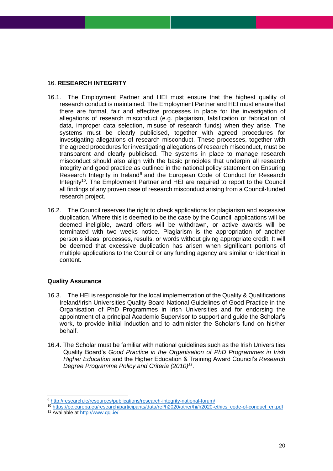### <span id="page-19-0"></span>16. **RESEARCH INTEGRITY**

- 16.1. The Employment Partner and HEI must ensure that the highest quality of research conduct is maintained. The Employment Partner and HEI must ensure that there are formal, fair and effective processes in place for the investigation of allegations of research misconduct (e.g. plagiarism, falsification or fabrication of data, improper data selection, misuse of research funds) when they arise. The systems must be clearly publicised, together with agreed procedures for investigating allegations of research misconduct. These processes, together with the agreed procedures for investigating allegations of research misconduct, must be transparent and clearly publicised. The systems in place to manage research misconduct should also align with the basic principles that underpin all research integrity and good practice as outlined in the national policy statement on Ensuring Research Integrity in Ireland<sup>9</sup> and the European Code of Conduct for Research Integrity<sup>10</sup>. The Employment Partner and HEI are required to report to the Council all findings of any proven case of research misconduct arising from a Council-funded research project.
- 16.2. The Council reserves the right to check applications for plagiarism and excessive duplication. Where this is deemed to be the case by the Council, applications will be deemed ineligible, award offers will be withdrawn, or active awards will be terminated with two weeks notice. Plagiarism is the appropriation of another person's ideas, processes, results, or words without giving appropriate credit. It will be deemed that excessive duplication has arisen when significant portions of multiple applications to the Council or any funding agency are similar or identical in content.

### **Quality Assurance**

- 16.3. The HEI is responsible for the local implementation of the Quality & Qualifications Ireland/Irish Universities Quality Board National Guidelines of Good Practice in the Organisation of PhD Programmes in Irish Universities and for endorsing the appointment of a principal Academic Supervisor to support and guide the Scholar's work, to provide initial induction and to administer the Scholar's fund on his/her behalf.
- 16.4. The Scholar must be familiar with national guidelines such as the Irish Universities Quality Board's *Good Practice in the Organisation of PhD Programmes in Irish Higher Education* and the Higher Education & Training Award Council's *Research Degree Programme Policy and Criteria (2010)<sup>11</sup> .*

<sup>9</sup> <http://research.ie/resources/publications/research-integrity-national-forum/>

<sup>10</sup> [https://ec.europa.eu/research/participants/data/ref/h2020/other/hi/h2020-ethics\\_code-of-conduct\\_en.pdf](https://ec.europa.eu/research/participants/data/ref/h2020/other/hi/h2020-ethics_code-of-conduct_en.pdf) <sup>11</sup> Available at<http://www.qqi.ie/>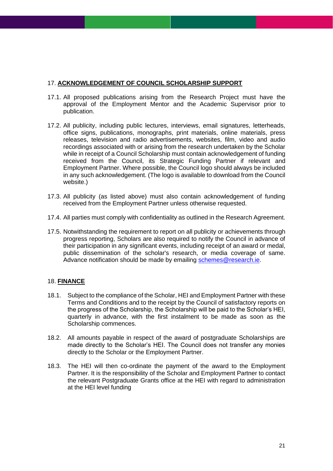### <span id="page-20-0"></span>17. **ACKNOWLEDGEMENT OF COUNCIL SCHOLARSHIP SUPPORT**

- 17.1. All proposed publications arising from the Research Project must have the approval of the Employment Mentor and the Academic Supervisor prior to publication.
- 17.2. All publicity, including public lectures, interviews, email signatures, letterheads, office signs, publications, monographs, print materials, online materials, press releases, television and radio advertisements, websites, film, video and audio recordings associated with or arising from the research undertaken by the Scholar while in receipt of a Council Scholarship must contain acknowledgement of funding received from the Council, its Strategic Funding Partner if relevant and Employment Partner. Where possible, the Council logo should always be included in any such acknowledgement. (The logo is available to download from the Council website.)
- 17.3. All publicity (as listed above) must also contain acknowledgement of funding received from the Employment Partner unless otherwise requested.
- 17.4. All parties must comply with confidentiality as outlined in the Research Agreement.
- <span id="page-20-1"></span>17.5. Notwithstanding the requirement to report on all publicity or achievements through progress reporting, Scholars are also required to notify the Council in advance of their participation in any significant events, including receipt of an award or medal, public dissemination of the scholar's research, or media coverage of same. Advance notification should be made by emailing [schemes@research.ie.](mailto:schemes@research.ie)

### 18. **FINANCE**

- 18.1. Subject to the compliance of the Scholar, HEI and Employment Partner with these Terms and Conditions and to the receipt by the Council of satisfactory reports on the progress of the Scholarship, the Scholarship will be paid to the Scholar's HEI, quarterly in advance, with the first instalment to be made as soon as the Scholarship commences.
- 18.2. All amounts payable in respect of the award of postgraduate Scholarships are made directly to the Scholar's HEI. The Council does not transfer any monies directly to the Scholar or the Employment Partner.
- 18.3. The HEI will then co-ordinate the payment of the award to the Employment Partner. It is the responsibility of the Scholar and Employment Partner to contact the relevant Postgraduate Grants office at the HEI with regard to administration at the HEI level funding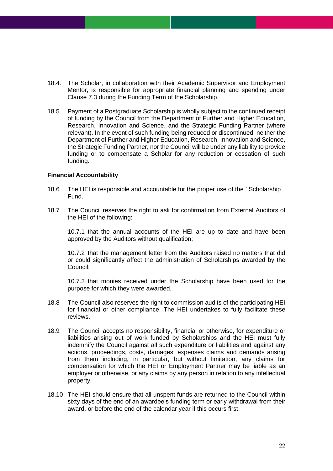- 18.4. The Scholar, in collaboration with their Academic Supervisor and Employment Mentor, is responsible for appropriate financial planning and spending under Clause 7.3 during the Funding Term of the Scholarship.
- 18.5. Payment of a Postgraduate Scholarship is wholly subject to the continued receipt of funding by the Council from the Department of Further and Higher Education, Research, Innovation and Science, and the Strategic Funding Partner (where relevant). In the event of such funding being reduced or discontinued, neither the Department of Further and Higher Education, Research, Innovation and Science, the Strategic Funding Partner, nor the Council will be under any liability to provide funding or to compensate a Scholar for any reduction or cessation of such funding.

### **Financial Accountability**

- 18.6 The HEI is responsible and accountable for the proper use of the ` Scholarship Fund.
- 18.7 The Council reserves the right to ask for confirmation from External Auditors of the HEI of the following:

10.7.1 that the annual accounts of the HEI are up to date and have been approved by the Auditors without qualification;

10.7.2 that the management letter from the Auditors raised no matters that did or could significantly affect the administration of Scholarships awarded by the Council;

10.7.3 that monies received under the Scholarship have been used for the purpose for which they were awarded.

- 18.8 The Council also reserves the right to commission audits of the participating HEI for financial or other compliance. The HEI undertakes to fully facilitate these reviews.
- 18.9 The Council accepts no responsibility, financial or otherwise, for expenditure or liabilities arising out of work funded by Scholarships and the HEI must fully indemnify the Council against all such expenditure or liabilities and against any actions, proceedings, costs, damages, expenses claims and demands arising from them including, in particular, but without limitation, any claims for compensation for which the HEI or Employment Partner may be liable as an employer or otherwise, or any claims by any person in relation to any intellectual property.
- 18.10 The HEI should ensure that all unspent funds are returned to the Council within sixty days of the end of an awardee's funding term or early withdrawal from their award, or before the end of the calendar year if this occurs first.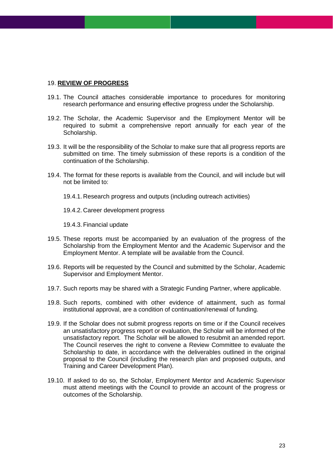#### <span id="page-22-0"></span>19. **REVIEW OF PROGRESS**

- 19.1. The Council attaches considerable importance to procedures for monitoring research performance and ensuring effective progress under the Scholarship.
- 19.2. The Scholar, the Academic Supervisor and the Employment Mentor will be required to submit a comprehensive report annually for each year of the Scholarship.
- 19.3. It will be the responsibility of the Scholar to make sure that all progress reports are submitted on time. The timely submission of these reports is a condition of the continuation of the Scholarship.
- 19.4. The format for these reports is available from the Council, and will include but will not be limited to:
	- 19.4.1. Research progress and outputs (including outreach activities)
	- 19.4.2. Career development progress
	- 19.4.3. Financial update
- 19.5. These reports must be accompanied by an evaluation of the progress of the Scholarship from the Employment Mentor and the Academic Supervisor and the Employment Mentor. A template will be available from the Council.
- 19.6. Reports will be requested by the Council and submitted by the Scholar, Academic Supervisor and Employment Mentor.
- 19.7. Such reports may be shared with a Strategic Funding Partner, where applicable.
- 19.8. Such reports, combined with other evidence of attainment, such as formal institutional approval, are a condition of continuation/renewal of funding.
- 19.9. If the Scholar does not submit progress reports on time or if the Council receives an unsatisfactory progress report or evaluation, the Scholar will be informed of the unsatisfactory report. The Scholar will be allowed to resubmit an amended report. The Council reserves the right to convene a Review Committee to evaluate the Scholarship to date, in accordance with the deliverables outlined in the original proposal to the Council (including the research plan and proposed outputs, and Training and Career Development Plan).
- 19.10. If asked to do so, the Scholar, Employment Mentor and Academic Supervisor must attend meetings with the Council to provide an account of the progress or outcomes of the Scholarship.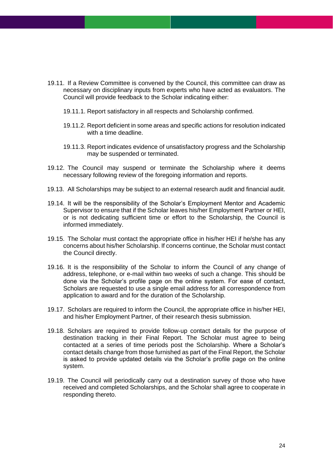- 19.11. If a Review Committee is convened by the Council, this committee can draw as necessary on disciplinary inputs from experts who have acted as evaluators. The Council will provide feedback to the Scholar indicating either:
	- 19.11.1. Report satisfactory in all respects and Scholarship confirmed.
	- 19.11.2. Report deficient in some areas and specific actions for resolution indicated with a time deadline.
	- 19.11.3. Report indicates evidence of unsatisfactory progress and the Scholarship may be suspended or terminated.
- 19.12. The Council may suspend or terminate the Scholarship where it deems necessary following review of the foregoing information and reports.
- 19.13. All Scholarships may be subject to an external research audit and financial audit.
- 19.14. It will be the responsibility of the Scholar's Employment Mentor and Academic Supervisor to ensure that if the Scholar leaves his/her Employment Partner or HEI, or is not dedicating sufficient time or effort to the Scholarship, the Council is informed immediately.
- 19.15. The Scholar must contact the appropriate office in his/her HEI if he/she has any concerns about his/her Scholarship. If concerns continue, the Scholar must contact the Council directly.
- 19.16. It is the responsibility of the Scholar to inform the Council of any change of address, telephone, or e-mail within two weeks of such a change. This should be done via the Scholar's profile page on the online system. For ease of contact, Scholars are requested to use a single email address for all correspondence from application to award and for the duration of the Scholarship.
- 19.17. Scholars are required to inform the Council, the appropriate office in his/her HEI, and his/her Employment Partner, of their research thesis submission.
- 19.18. Scholars are required to provide follow-up contact details for the purpose of destination tracking in their Final Report. The Scholar must agree to being contacted at a series of time periods post the Scholarship. Where a Scholar's contact details change from those furnished as part of the Final Report, the Scholar is asked to provide updated details via the Scholar's profile page on the online system.
- 19.19. The Council will periodically carry out a destination survey of those who have received and completed Scholarships, and the Scholar shall agree to cooperate in responding thereto.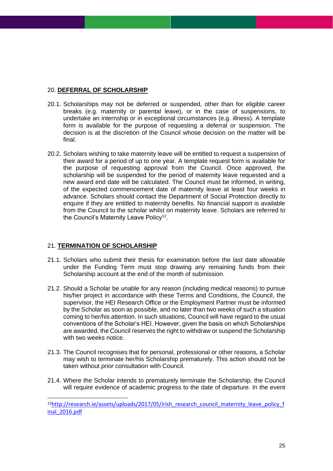### <span id="page-24-0"></span>20. **DEFERRAL OF SCHOLARSHIP**

- 20.1. Scholarships may not be deferred or suspended, other than for eligible career breaks (e.g. maternity or parental leave), or in the case of suspensions, to undertake an internship or in exceptional circumstances (e.g. illness). A template form is available for the purpose of requesting a deferral or suspension. The decision is at the discretion of the Council whose decision on the matter will be final.
- 20.2. Scholars wishing to take maternity leave will be entitled to request a suspension of their award for a period of up to one year. A template request form is available for the purpose of requesting approval from the Council. Once approved, the scholarship will be suspended for the period of maternity leave requested and a new award end date will be calculated. The Council must be informed, in writing, of the expected commencement date of maternity leave at least four weeks in advance. Scholars should contact the Department of Social Protection directly to enquire if they are entitled to maternity benefits. No financial support is available from the Council to the scholar whilst on maternity leave. Scholars are referred to the Council's Maternity Leave Policy<sup>12</sup>.

### <span id="page-24-1"></span>21. **TERMINATION OF SCHOLARSHIP**

- 21.1. Scholars who submit their thesis for examination before the last date allowable under the Funding Term must stop drawing any remaining funds from their Scholarship account at the end of the month of submission.
- 21.2. Should a Scholar be unable for any reason (including medical reasons) to pursue his/her project in accordance with these Terms and Conditions, the Council, the supervisor, the HEI Research Office or the Employment Partner must be informed by the Scholar as soon as possible, and no later than two weeks of such a situation coming to her/his attention. In such situations, Council will have regard to the usual conventions of the Scholar's HEI. However, given the basis on which Scholarships are awarded, the Council reserves the right to withdraw or suspend the Scholarship with two weeks notice.
- 21.3. The Council recognises that for personal, professional or other reasons, a Scholar may wish to terminate her/his Scholarship prematurely. This action should not be taken without *prior* consultation with Council.
- 21.4. Where the Scholar intends to prematurely terminate the Scholarship, the Council will require evidence of academic progress to the date of departure. In the event

<sup>12</sup>[http://research.ie/assets/uploads/2017/05/irish\\_research\\_council\\_maternity\\_leave\\_policy\\_f](http://research.ie/assets/uploads/2017/05/irish_research_council_maternity_leave_policy_final_2016.pdf) [inal\\_2016.pdf](http://research.ie/assets/uploads/2017/05/irish_research_council_maternity_leave_policy_final_2016.pdf)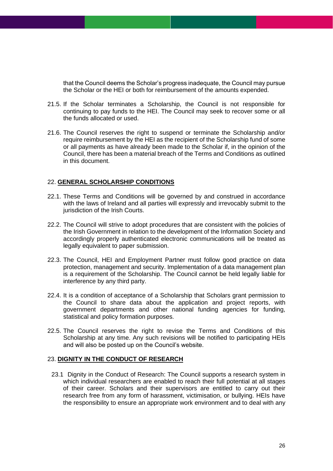that the Council deems the Scholar's progress inadequate, the Council may pursue the Scholar or the HEI or both for reimbursement of the amounts expended.

- 21.5. If the Scholar terminates a Scholarship, the Council is not responsible for continuing to pay funds to the HEI. The Council may seek to recover some or all the funds allocated or used.
- <span id="page-25-0"></span>21.6. The Council reserves the right to suspend or terminate the Scholarship and/or require reimbursement by the HEI as the recipient of the Scholarship fund of some or all payments as have already been made to the Scholar if, in the opinion of the Council, there has been a material breach of the Terms and Conditions as outlined in this document.

### 22. **GENERAL SCHOLARSHIP CONDITIONS**

- 22.1. These Terms and Conditions will be governed by and construed in accordance with the laws of Ireland and all parties will expressly and irrevocably submit to the jurisdiction of the Irish Courts.
- 22.2. The Council will strive to adopt procedures that are consistent with the policies of the Irish Government in relation to the development of the Information Society and accordingly properly authenticated electronic communications will be treated as legally equivalent to paper submission.
- 22.3. The Council, HEI and Employment Partner must follow good practice on data protection, management and security. Implementation of a data management plan is a requirement of the Scholarship. The Council cannot be held legally liable for interference by any third party.
- 22.4. It is a condition of acceptance of a Scholarship that Scholars grant permission to the Council to share data about the application and project reports, with government departments and other national funding agencies for funding, statistical and policy formation purposes.
- <span id="page-25-1"></span>22.5. The Council reserves the right to revise the Terms and Conditions of this Scholarship at any time. Any such revisions will be notified to participating HEIs and will also be posted up on the Council's website.

#### 23. **DIGNITY IN THE CONDUCT OF RESEARCH**

23.1 Dignity in the Conduct of Research: The Council supports a research system in which individual researchers are enabled to reach their full potential at all stages of their career. Scholars and their supervisors are entitled to carry out their research free from any form of harassment, victimisation, or bullying. HEIs have the responsibility to ensure an appropriate work environment and to deal with any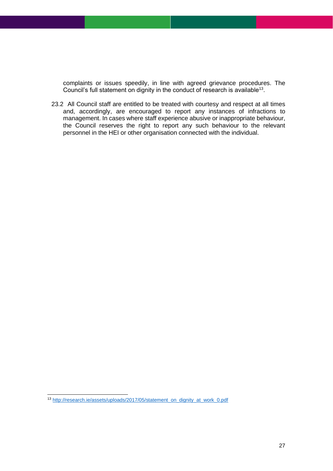complaints or issues speedily, in line with agreed grievance procedures. The Council's full statement on dignity in the conduct of research is available<sup>13</sup>.

23.2 All Council staff are entitled to be treated with courtesy and respect at all times and, accordingly, are encouraged to report any instances of infractions to management. In cases where staff experience abusive or inappropriate behaviour, the Council reserves the right to report any such behaviour to the relevant personnel in the HEI or other organisation connected with the individual.

<sup>13</sup> [http://research.ie/assets/uploads/2017/05/statement\\_on\\_dignity\\_at\\_work\\_0.pdf](http://research.ie/assets/uploads/2017/05/statement_on_dignity_at_work_0.pdf)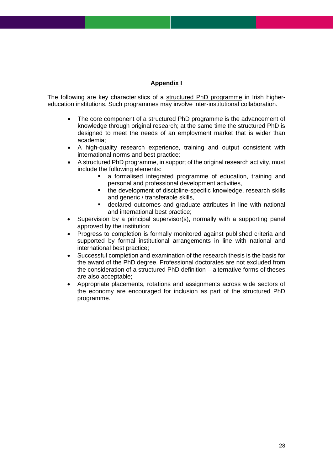### **Appendix I**

<span id="page-27-0"></span>The following are key characteristics of a structured PhD programme in Irish highereducation institutions. Such programmes may involve inter-institutional collaboration.

- The core component of a structured PhD programme is the advancement of knowledge through original research; at the same time the structured PhD is designed to meet the needs of an employment market that is wider than academia;
- A high-quality research experience, training and output consistent with international norms and best practice;
- A structured PhD programme, in support of the original research activity, must include the following elements:
	- a formalised integrated programme of education, training and personal and professional development activities,
	- the development of discipline-specific knowledge, research skills and generic / transferable skills,
	- declared outcomes and graduate attributes in line with national and international best practice;
- Supervision by a principal supervisor(s), normally with a supporting panel approved by the institution;
- Progress to completion is formally monitored against published criteria and supported by formal institutional arrangements in line with national and international best practice;
- Successful completion and examination of the research thesis is the basis for the award of the PhD degree. Professional doctorates are not excluded from the consideration of a structured PhD definition – alternative forms of theses are also acceptable;
- Appropriate placements, rotations and assignments across wide sectors of the economy are encouraged for inclusion as part of the structured PhD programme.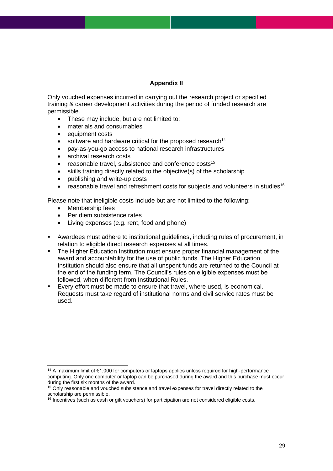### **Appendix II**

<span id="page-28-0"></span>Only vouched expenses incurred in carrying out the research project or specified training & career development activities during the period of funded research are permissible.

- These may include, but are not limited to:
- materials and consumables
- equipment costs
- software and hardware critical for the proposed research<sup>14</sup>
- pay-as-you-go access to national research infrastructures
- archival research costs
- reasonable travel, subsistence and conference costs<sup>15</sup>
- skills training directly related to the objective(s) of the scholarship
- publishing and write-up costs
- reasonable travel and refreshment costs for subjects and volunteers in studies<sup>16</sup>

Please note that ineligible costs include but are not limited to the following:

- Membership fees
- Per diem subsistence rates
- Living expenses (e.g. rent, food and phone)
- Awardees must adhere to institutional guidelines, including rules of procurement, in relation to eligible direct research expenses at all times.
- The Higher Education Institution must ensure proper financial management of the award and accountability for the use of public funds. The Higher Education Institution should also ensure that all unspent funds are returned to the Council at the end of the funding term. The Council's rules on eligible expenses must be followed, when different from Institutional Rules.
- Every effort must be made to ensure that travel, where used, is economical. Requests must take regard of institutional norms and civil service rates must be used.

<sup>&</sup>lt;sup>14</sup> A maximum limit of €1,000 for computers or laptops applies unless required for high-performance computing. Only one computer or laptop can be purchased during the award and this purchase must occur during the first six months of the award.

<sup>&</sup>lt;sup>15</sup> Only reasonable and vouched subsistence and travel expenses for travel directly related to the scholarship are permissible.

<sup>&</sup>lt;sup>16</sup> Incentives (such as cash or gift vouchers) for participation are not considered eligible costs.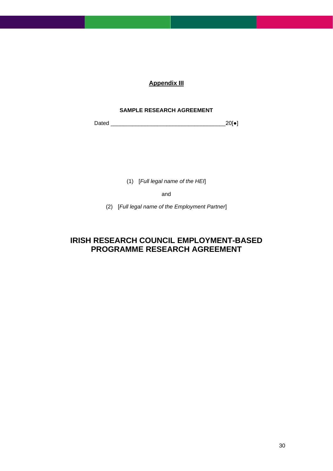### **Appendix III**

### **SAMPLE RESEARCH AGREEMENT**

<span id="page-29-0"></span>Dated \_\_\_\_\_\_\_\_\_\_\_\_\_\_\_\_\_\_\_\_\_\_\_\_\_\_\_\_\_\_\_\_\_\_\_\_\_20[●]

(1) [*Full legal name of the HEI*]

and

(2) [*Full legal name of the Employment Partner*]

# **IRISH RESEARCH COUNCIL EMPLOYMENT-BASED PROGRAMME RESEARCH AGREEMENT**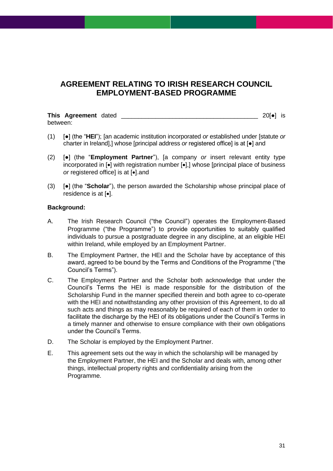## **AGREEMENT RELATING TO IRISH RESEARCH COUNCIL EMPLOYMENT-BASED PROGRAMME**

**This Agreement** dated **the contract of the contract of the contract of the 20[** $\bullet$ **] is** between:

- (1) [●] (the "**HEI**"); [an academic institution incorporated *or* established under [statute *or*  charter in Ireland],] whose [principal address *or* registered office] is at [●] and
- (2) [●] (the "**Employment Partner**"), [a company *or* insert relevant entity type incorporated in [•] with registration number [•],] whose [principal place of business *or* registered office] is at [•].and
- (3) [●] (the "**Scholar**"), the person awarded the Scholarship whose principal place of residence is at [•].

### **Background:**

- A. The Irish Research Council ("the Council") operates the Employment-Based Programme ("the Programme") to provide opportunities to suitably qualified individuals to pursue a postgraduate degree in any discipline, at an eligible HEI within Ireland, while employed by an Employment Partner.
- B. The Employment Partner, the HEI and the Scholar have by acceptance of this award, agreed to be bound by the Terms and Conditions of the Programme ("the Council's Terms").
- C. The Employment Partner and the Scholar both acknowledge that under the Council's Terms the HEI is made responsible for the distribution of the Scholarship Fund in the manner specified therein and both agree to co-operate with the HEI and notwithstanding any other provision of this Agreement, to do all such acts and things as may reasonably be required of each of them in order to facilitate the discharge by the HEI of its obligations under the Council's Terms in a timely manner and otherwise to ensure compliance with their own obligations under the Council's Terms.
- D. The Scholar is employed by the Employment Partner.
- E. This agreement sets out the way in which the scholarship will be managed by the Employment Partner, the HEI and the Scholar and deals with, among other things, intellectual property rights and confidentiality arising from the Programme.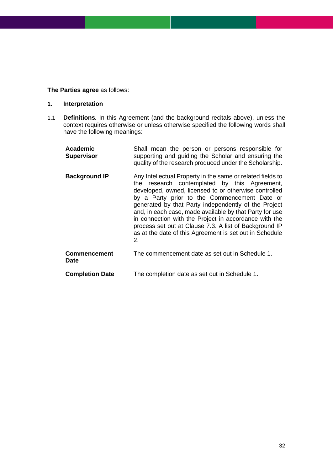### **The Parties agree** as follows:

### **1. Interpretation**

1.1 **Definitions***.* In this Agreement (and the background recitals above), unless the context requires otherwise or unless otherwise specified the following words shall have the following meanings:

| <b>Academic</b><br><b>Supervisor</b> | Shall mean the person or persons responsible for<br>supporting and guiding the Scholar and ensuring the<br>quality of the research produced under the Scholarship.                                                                                                                                                                                                                                                                                                                                                            |
|--------------------------------------|-------------------------------------------------------------------------------------------------------------------------------------------------------------------------------------------------------------------------------------------------------------------------------------------------------------------------------------------------------------------------------------------------------------------------------------------------------------------------------------------------------------------------------|
| <b>Background IP</b>                 | Any Intellectual Property in the same or related fields to<br>research contemplated by this Agreement,<br>the<br>developed, owned, licensed to or otherwise controlled<br>by a Party prior to the Commencement Date or<br>generated by that Party independently of the Project<br>and, in each case, made available by that Party for use<br>in connection with the Project in accordance with the<br>process set out at Clause 7.3. A list of Background IP<br>as at the date of this Agreement is set out in Schedule<br>2. |
| <b>Commencement</b><br><b>Date</b>   | The commencement date as set out in Schedule 1.                                                                                                                                                                                                                                                                                                                                                                                                                                                                               |
| <b>Completion Date</b>               | The completion date as set out in Schedule 1.                                                                                                                                                                                                                                                                                                                                                                                                                                                                                 |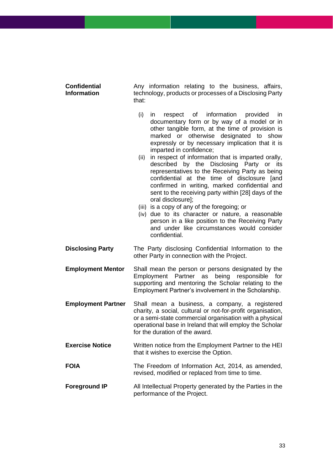### **Confidential Information**

Any information relating to the business, affairs, technology, products or processes of a Disclosing Party that:

- (i) in respect of information provided in documentary form or by way of a model or in other tangible form, at the time of provision is marked or otherwise designated to show expressly or by necessary implication that it is imparted in confidence;
- (ii) in respect of information that is imparted orally, described by the Disclosing Party or its representatives to the Receiving Party as being confidential at the time of disclosure [and confirmed in writing, marked confidential and sent to the receiving party within [28] days of the oral disclosure];
- (iii) is a copy of any of the foregoing; or
- (iv) due to its character or nature, a reasonable person in a like position to the Receiving Party and under like circumstances would consider confidential.
- **Disclosing Party** The Party disclosing Confidential Information to the other Party in connection with the Project.

**Employment Mentor** Shall mean the person or persons designated by the Employment Partner as being responsible for supporting and mentoring the Scholar relating to the Employment Partner's involvement in the Scholarship.

- **Employment Partner** Shall mean a business, a company, a registered charity, a social, cultural or not-for-profit organisation, or a semi-state commercial organisation with a physical operational base in Ireland that will employ the Scholar for the duration of the award.
- **Exercise Notice** Written notice from the Employment Partner to the HEI that it wishes to exercise the Option.
- **FOIA** The Freedom of Information Act, 2014, as amended, revised, modified or replaced from time to time.
- **Foreground IP** All Intellectual Property generated by the Parties in the performance of the Project.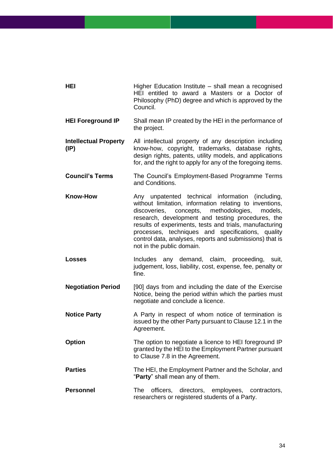| HEI                                             | Higher Education Institute - shall mean a recognised<br>HEI entitled to award a Masters or a Doctor of<br>Philosophy (PhD) degree and which is approved by the<br>Council.                                                                                                                                                                                                                                                          |
|-------------------------------------------------|-------------------------------------------------------------------------------------------------------------------------------------------------------------------------------------------------------------------------------------------------------------------------------------------------------------------------------------------------------------------------------------------------------------------------------------|
| <b>HEI Foreground IP</b>                        | Shall mean IP created by the HEI in the performance of<br>the project.                                                                                                                                                                                                                                                                                                                                                              |
| <b>Intellectual Property</b><br>$(\mathsf{IP})$ | All intellectual property of any description including<br>know-how, copyright, trademarks, database rights,<br>design rights, patents, utility models, and applications<br>for, and the right to apply for any of the foregoing items.                                                                                                                                                                                              |
| <b>Council's Terms</b>                          | The Council's Employment-Based Programme Terms<br>and Conditions.                                                                                                                                                                                                                                                                                                                                                                   |
| <b>Know-How</b>                                 | Any unpatented technical information<br>(including,<br>without limitation, information relating to inventions,<br>concepts, methodologies,<br>discoveries,<br>models,<br>research, development and testing procedures, the<br>results of experiments, tests and trials, manufacturing<br>processes, techniques and specifications, quality<br>control data, analyses, reports and submissions) that is<br>not in the public domain. |
| <b>Losses</b>                                   | any demand, claim, proceeding, suit,<br>Includes<br>judgement, loss, liability, cost, expense, fee, penalty or<br>fine.                                                                                                                                                                                                                                                                                                             |
| <b>Negotiation Period</b>                       | [90] days from and including the date of the Exercise<br>Notice, being the period within which the parties must<br>negotiate and conclude a licence.                                                                                                                                                                                                                                                                                |
| <b>Notice Party</b>                             | A Party in respect of whom notice of termination is<br>issued by the other Party pursuant to Clause 12.1 in the<br>Agreement.                                                                                                                                                                                                                                                                                                       |
| <b>Option</b>                                   | The option to negotiate a licence to HEI foreground IP<br>granted by the HEI to the Employment Partner pursuant<br>to Clause 7.8 in the Agreement.                                                                                                                                                                                                                                                                                  |
| <b>Parties</b>                                  | The HEI, the Employment Partner and the Scholar, and<br>"Party" shall mean any of them.                                                                                                                                                                                                                                                                                                                                             |
| <b>Personnel</b>                                | officers, directors, employees, contractors,<br><b>The</b><br>researchers or registered students of a Party.                                                                                                                                                                                                                                                                                                                        |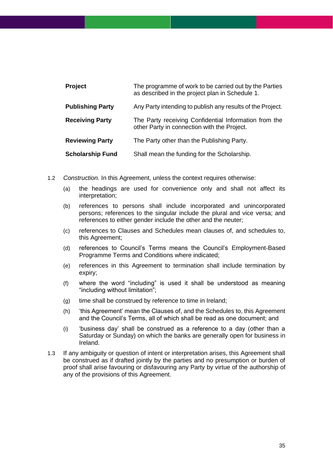| <b>Project</b>          | The programme of work to be carried out by the Parties<br>as described in the project plan in Schedule 1. |
|-------------------------|-----------------------------------------------------------------------------------------------------------|
| <b>Publishing Party</b> | Any Party intending to publish any results of the Project.                                                |
| <b>Receiving Party</b>  | The Party receiving Confidential Information from the<br>other Party in connection with the Project.      |
| <b>Reviewing Party</b>  | The Party other than the Publishing Party.                                                                |
| <b>Scholarship Fund</b> | Shall mean the funding for the Scholarship.                                                               |

- 1.2 *Construction.* In this Agreement, unless the context requires otherwise:
	- (a) the headings are used for convenience only and shall not affect its interpretation;
	- (b) references to persons shall include incorporated and unincorporated persons; references to the singular include the plural and vice versa; and references to either gender include the other and the neuter;
	- (c) references to Clauses and Schedules mean clauses of, and schedules to, this Agreement;
	- (d) references to Council's Terms means the Council's Employment-Based Programme Terms and Conditions where indicated;
	- (e) references in this Agreement to termination shall include termination by expiry;
	- (f) where the word "including" is used it shall be understood as meaning "including without limitation";
	- (g) time shall be construed by reference to time in Ireland;
	- (h) 'this Agreement' mean the Clauses of, and the Schedules to, this Agreement and the Council's Terms, all of which shall be read as one document; and
	- (i) 'business day' shall be construed as a reference to a day (other than a Saturday or Sunday) on which the banks are generally open for business in Ireland.
- 1.3 If any ambiguity or question of intent or interpretation arises, this Agreement shall be construed as if drafted jointly by the parties and no presumption or burden of proof shall arise favouring or disfavouring any Party by virtue of the authorship of any of the provisions of this Agreement.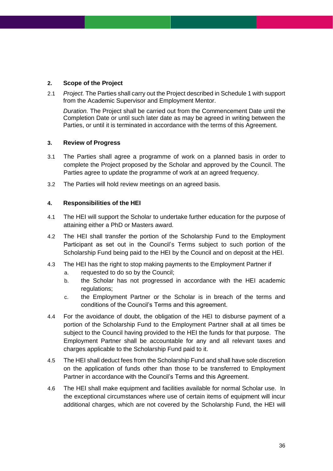### **2. Scope of the Project**

2.1 *Project.* The Parties shall carry out the Project described in Schedule 1 with support from the Academic Supervisor and Employment Mentor.

*Duration.* The Project shall be carried out from the Commencement Date until the Completion Date or until such later date as may be agreed in writing between the Parties, or until it is terminated in accordance with the terms of this Agreement.

### **3. Review of Progress**

- 3.1 The Parties shall agree a programme of work on a planned basis in order to complete the Project proposed by the Scholar and approved by the Council. The Parties agree to update the programme of work at an agreed frequency.
- 3.2 The Parties will hold review meetings on an agreed basis.

### **4. Responsibilities of the HEI**

- 4.1 The HEI will support the Scholar to undertake further education for the purpose of attaining either a PhD or Masters award.
- 4.2 The HEI shall transfer the portion of the Scholarship Fund to the Employment Participant as set out in the Council's Terms subject to such portion of the Scholarship Fund being paid to the HEI by the Council and on deposit at the HEI.
- 4.3 The HEI has the right to stop making payments to the Employment Partner if a. requested to do so by the Council;
	- b. the Scholar has not progressed in accordance with the HEI academic regulations;
	- c. the Employment Partner or the Scholar is in breach of the terms and conditions of the Council's Terms and this agreement.
- 4.4 For the avoidance of doubt, the obligation of the HEI to disburse payment of a portion of the Scholarship Fund to the Employment Partner shall at all times be subject to the Council having provided to the HEI the funds for that purpose. The Employment Partner shall be accountable for any and all relevant taxes and charges applicable to the Scholarship Fund paid to it.
- 4.5 The HEI shall deduct fees from the Scholarship Fund and shall have sole discretion on the application of funds other than those to be transferred to Employment Partner in accordance with the Council's Terms and this Agreement.
- 4.6 The HEI shall make equipment and facilities available for normal Scholar use. In the exceptional circumstances where use of certain items of equipment will incur additional charges, which are not covered by the Scholarship Fund, the HEI will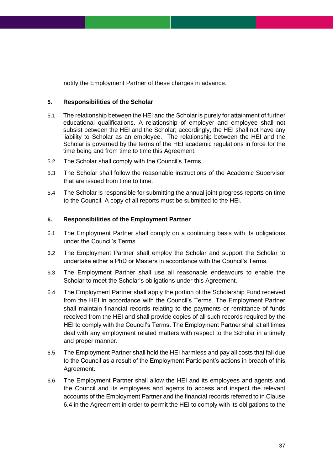notify the Employment Partner of these charges in advance.

### **5. Responsibilities of the Scholar**

- 5.1 The relationship between the HEI and the Scholar is purely for attainment of further educational qualifications. A relationship of employer and employee shall not subsist between the HEI and the Scholar; accordingly, the HEI shall not have any liability to Scholar as an employee. The relationship between the HEI and the Scholar is governed by the terms of the HEI academic regulations in force for the time being and from time to time this Agreement.
- 5.2 The Scholar shall comply with the Council's Terms.
- 5.3 The Scholar shall follow the reasonable instructions of the Academic Supervisor that are issued from time to time.
- 5.4 The Scholar is responsible for submitting the annual joint progress reports on time to the Council. A copy of all reports must be submitted to the HEI.

### **6. Responsibilities of the Employment Partner**

- 6.1 The Employment Partner shall comply on a continuing basis with its obligations under the Council's Terms.
- 6.2 The Employment Partner shall employ the Scholar and support the Scholar to undertake either a PhD or Masters in accordance with the Council's Terms.
- 6.3 The Employment Partner shall use all reasonable endeavours to enable the Scholar to meet the Scholar's obligations under this Agreement.
- 6.4 The Employment Partner shall apply the portion of the Scholarship Fund received from the HEI in accordance with the Council's Terms. The Employment Partner shall maintain financial records relating to the payments or remittance of funds received from the HEI and shall provide copies of all such records required by the HEI to comply with the Council's Terms. The Employment Partner shall at all times deal with any employment related matters with respect to the Scholar in a timely and proper manner.
- 6.5 The Employment Partner shall hold the HEI harmless and pay all costs that fall due to the Council as a result of the Employment Participant's actions in breach of this Agreement.
- 6.6 The Employment Partner shall allow the HEI and its employees and agents and the Council and its employees and agents to access and inspect the relevant accounts of the Employment Partner and the financial records referred to in Clause 6.4 in the Agreement in order to permit the HEI to comply with its obligations to the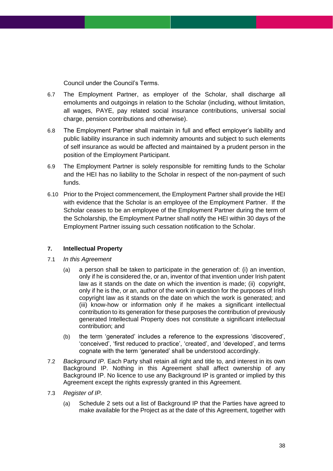Council under the Council's Terms.

- 6.7 The Employment Partner, as employer of the Scholar, shall discharge all emoluments and outgoings in relation to the Scholar (including, without limitation, all wages, PAYE, pay related social insurance contributions, universal social charge, pension contributions and otherwise).
- 6.8 The Employment Partner shall maintain in full and effect employer's liability and public liability insurance in such indemnity amounts and subject to such elements of self insurance as would be affected and maintained by a prudent person in the position of the Employment Participant.
- 6.9 The Employment Partner is solely responsible for remitting funds to the Scholar and the HEI has no liability to the Scholar in respect of the non-payment of such funds.
- 6.10 Prior to the Project commencement, the Employment Partner shall provide the HEI with evidence that the Scholar is an employee of the Employment Partner. If the Scholar ceases to be an employee of the Employment Partner during the term of the Scholarship, the Employment Partner shall notify the HEI within 30 days of the Employment Partner issuing such cessation notification to the Scholar.

### **7. Intellectual Property**

- 7.1 *In this Agreement*
	- (a) a person shall be taken to participate in the generation of: (i) an invention, only if he is considered the, or an, inventor of that invention under Irish patent law as it stands on the date on which the invention is made; (ii) copyright, only if he is the, or an, author of the work in question for the purposes of Irish copyright law as it stands on the date on which the work is generated; and (iii) know-how or information only if he makes a significant intellectual contribution to its generation for these purposes the contribution of previously generated Intellectual Property does not constitute a significant intellectual contribution; and
	- (b) the term 'generated' includes a reference to the expressions 'discovered', 'conceived', 'first reduced to practice', 'created', and 'developed', and terms cognate with the term 'generated' shall be understood accordingly.
- 7.2 *Background IP.* Each Party shall retain all right and title to, and interest in its own Background IP. Nothing in this Agreement shall affect ownership of any Background IP. No licence to use any Background IP is granted or implied by this Agreement except the rights expressly granted in this Agreement.
- 7.3 *Register of IP.*
	- (a) Schedule 2 sets out a list of Background IP that the Parties have agreed to make available for the Project as at the date of this Agreement, together with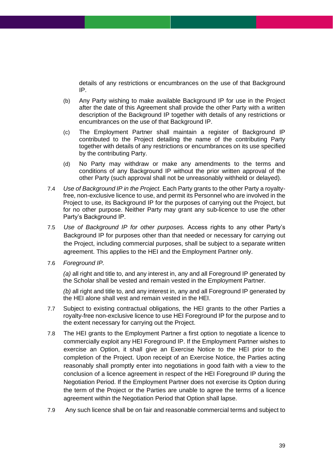details of any restrictions or encumbrances on the use of that Background IP.

- (b) Any Party wishing to make available Background IP for use in the Project after the date of this Agreement shall provide the other Party with a written description of the Background IP together with details of any restrictions or encumbrances on the use of that Background IP.
- (c) The Employment Partner shall maintain a register of Background IP contributed to the Project detailing the name of the contributing Party together with details of any restrictions or encumbrances on its use specified by the contributing Party.
- (d) No Party may withdraw or make any amendments to the terms and conditions of any Background IP without the prior written approval of the other Party (such approval shall not be unreasonably withheld or delayed).
- 7.4 *Use of Background IP in the Project.* Each Party grants to the other Party a royaltyfree, non-exclusive licence to use, and permit its Personnel who are involved in the Project to use, its Background IP for the purposes of carrying out the Project, but for no other purpose. Neither Party may grant any sub-licence to use the other Party's Background IP.
- 7.5 *Use of Background IP for other purposes.* Access rights to any other Party's Background IP for purposes other than that needed or necessary for carrying out the Project, including commercial purposes, shall be subject to a separate written agreement. This applies to the HEI and the Employment Partner only.
- 7.6 *Foreground IP.*

*(a)* all right and title to, and any interest in, any and all Foreground IP generated by the Scholar shall be vested and remain vested in the Employment Partner.

*(b)* all right and title to, and any interest in, any and all Foreground IP generated by the HEI alone shall vest and remain vested in the HEI.

- 7.7 Subject to existing contractual obligations, the HEI grants to the other Parties a royalty-free non-exclusive licence to use HEI Foreground IP for the purpose and to the extent necessary for carrying out the Project.
- 7.8 The HEI grants to the Employment Partner a first option to negotiate a licence to commercially exploit any HEI Foreground IP. If the Employment Partner wishes to exercise an Option, it shall give an Exercise Notice to the HEI prior to the completion of the Project. Upon receipt of an Exercise Notice, the Parties acting reasonably shall promptly enter into negotiations in good faith with a view to the conclusion of a licence agreement in respect of the HEI Foreground IP during the Negotiation Period. If the Employment Partner does not exercise its Option during the term of the Project or the Parties are unable to agree the terms of a licence agreement within the Negotiation Period that Option shall lapse.
- 7.9 Any such licence shall be on fair and reasonable commercial terms and subject to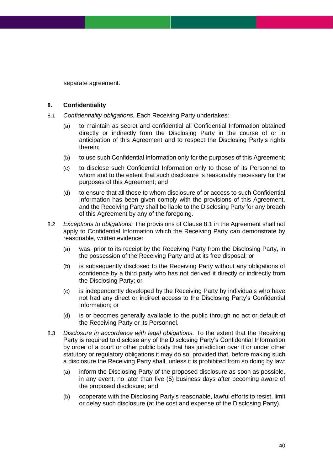separate agreement.

#### **8. Confidentiality**

- 8.1 *Confidentiality obligations.* Each Receiving Party undertakes:
	- (a) to maintain as secret and confidential all Confidential Information obtained directly or indirectly from the Disclosing Party in the course of or in anticipation of this Agreement and to respect the Disclosing Party's rights therein;
	- (b) to use such Confidential Information only for the purposes of this Agreement;
	- (c) to disclose such Confidential Information only to those of its Personnel to whom and to the extent that such disclosure is reasonably necessary for the purposes of this Agreement; and
	- (d) to ensure that all those to whom disclosure of or access to such Confidential Information has been given comply with the provisions of this Agreement, and the Receiving Party shall be liable to the Disclosing Party for any breach of this Agreement by any of the foregoing.
- <span id="page-39-0"></span>8.2 *Exceptions to obligations.* The provisions of Clause 8.1 in the Agreement shall not apply to Confidential Information which the Receiving Party can demonstrate by reasonable, written evidence:
	- (a) was, prior to its receipt by the Receiving Party from the Disclosing Party, in the possession of the Receiving Party and at its free disposal; or
	- (b) is subsequently disclosed to the Receiving Party without any obligations of confidence by a third party who has not derived it directly or indirectly from the Disclosing Party; or
	- (c) is independently developed by the Receiving Party by individuals who have not had any direct or indirect access to the Disclosing Party's Confidential Information; or
	- (d) is or becomes generally available to the public through no act or default of the Receiving Party or its Personnel.
- 8.3 *Disclosure in accordance with legal obligations.* To the extent that the Receiving Party is required to disclose any of the Disclosing Party's Confidential Information by order of a court or other public body that has jurisdiction over it or under other statutory or regulatory obligations it may do so, provided that, before making such a disclosure the Receiving Party shall, unless it is prohibited from so doing by law:
	- (a) inform the Disclosing Party of the proposed disclosure as soon as possible, in any event, no later than five (5) business days after becoming aware of the proposed disclosure; and
	- (b) cooperate with the Disclosing Party's reasonable, lawful efforts to resist, limit or delay such disclosure (at the cost and expense of the Disclosing Party).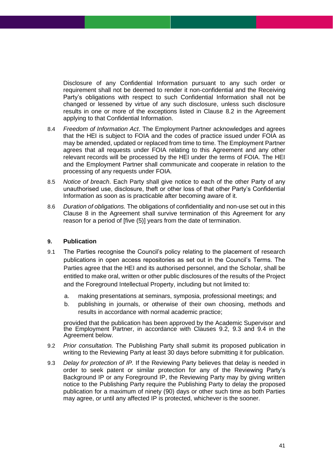Disclosure of any Confidential Information pursuant to any such order or requirement shall not be deemed to render it non-confidential and the Receiving Party's obligations with respect to such Confidential Information shall not be changed or lessened by virtue of any such disclosure, unless such disclosure results in one or more of the exceptions listed in Clause [8.2](#page-39-0) in the Agreement applying to that Confidential Information.

- 8.4 *Freedom of Information Act*. The Employment Partner acknowledges and agrees that the HEI is subject to FOIA and the codes of practice issued under FOIA as may be amended, updated or replaced from time to time. The Employment Partner agrees that all requests under FOIA relating to this Agreement and any other relevant records will be processed by the HEI under the terms of FOIA. The HEI and the Employment Partner shall communicate and cooperate in relation to the processing of any requests under FOIA*.*
- 8.5 *Notice of breach*. Each Party shall give notice to each of the other Party of any unauthorised use, disclosure, theft or other loss of that other Party's Confidential Information as soon as is practicable after becoming aware of it.
- 8.6 *Duration of obligations.* The obligations of confidentiality and non-use set out in this Clause 8 in the Agreement shall survive termination of this Agreement for any reason for a period of [five (5)] years from the date of termination.

### **9. Publication**

- 9.1 The Parties recognise the Council's policy relating to the placement of research publications in open access repositories as set out in the Council's Terms. The Parties agree that the HEI and its authorised personnel, and the Scholar, shall be entitled to make oral, written or other public disclosures of the results of the Project and the Foreground Intellectual Property, including but not limited to:
	- a. making presentations at seminars, symposia, professional meetings; and
	- b. publishing in journals, or otherwise of their own choosing, methods and results in accordance with normal academic practice;

provided that the publication has been approved by the Academic Supervisor and the Employment Partner, in accordance with Clauses 9.2, 9.3 and 9.4 in the Agreement below.

- 9.2 *Prior consultation.* The Publishing Party shall submit its proposed publication in writing to the Reviewing Party at least 30 days before submitting it for publication.
- 9.3 *Delay for protection of IP.* If the Reviewing Party believes that delay is needed in order to seek patent or similar protection for any of the Reviewing Party's Background IP or any Foreground IP, the Reviewing Party may by giving written notice to the Publishing Party require the Publishing Party to delay the proposed publication for a maximum of ninety (90) days or other such time as both Parties may agree, or until any affected IP is protected, whichever is the sooner.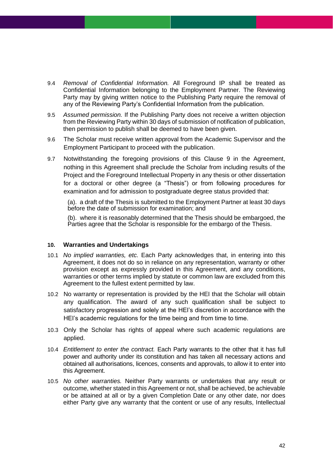- 9.4 *Removal of Confidential Information.* All Foreground IP shall be treated as Confidential Information belonging to the Employment Partner. The Reviewing Party may by giving written notice to the Publishing Party require the removal of any of the Reviewing Party's Confidential Information from the publication.
- 9.5 *Assumed permission.* If the Publishing Party does not receive a written objection from the Reviewing Party within 30 days of submission of notification of publication, then permission to publish shall be deemed to have been given.
- 9.6 The Scholar must receive written approval from the Academic Supervisor and the Employment Participant to proceed with the publication.
- 9.7 Notwithstanding the foregoing provisions of this Clause 9 in the Agreement, nothing in this Agreement shall preclude the Scholar from including results of the Project and the Foreground Intellectual Property in any thesis or other dissertation for a doctoral or other degree (a "Thesis") or from following procedures for examination and for admission to postgraduate degree status provided that:

(a). a draft of the Thesis is submitted to the Employment Partner at least 30 days before the date of submission for examination; and

(b). where it is reasonably determined that the Thesis should be embargoed, the Parties agree that the Scholar is responsible for the embargo of the Thesis.

#### **10. Warranties and Undertakings**

- 10.1 *No implied warranties, etc.* Each Party acknowledges that, in entering into this Agreement, it does not do so in reliance on any representation, warranty or other provision except as expressly provided in this Agreement, and any conditions, warranties or other terms implied by statute or common law are excluded from this Agreement to the fullest extent permitted by law.
- 10.2 No warranty or representation is provided by the HEI that the Scholar will obtain any qualification. The award of any such qualification shall be subject to satisfactory progression and solely at the HEI's discretion in accordance with the HEI's academic regulations for the time being and from time to time.
- 10.3 Only the Scholar has rights of appeal where such academic regulations are applied.
- 10.4 *Entitlement to enter the contract.* Each Party warrants to the other that it has full power and authority under its constitution and has taken all necessary actions and obtained all authorisations, licences, consents and approvals, to allow it to enter into this Agreement.
- 10.5 *No other warranties.* Neither Party warrants or undertakes that any result or outcome, whether stated in this Agreement or not, shall be achieved, be achievable or be attained at all or by a given Completion Date or any other date, nor does either Party give any warranty that the content or use of any results, Intellectual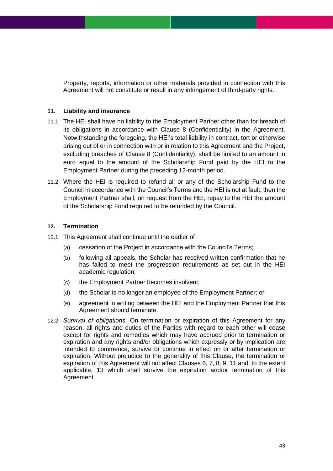Property, reports, information or other materials provided in connection with this Agreement will not constitute or result in any infringement of third-party rights.

### **11. Liability and insurance**

- 11.1 The HEI shall have no liability to the Employment Partner other than for breach of its obligations in accordance with Clause 8 (Confidentiality) in the Agreement. Notwithstanding the foregoing, the HEI's total liability in contract, tort or otherwise arising out of or in connection with or in relation to this Agreement and the Project, excluding breaches of Clause 8 (Confidentiality), shall be limited to an amount in euro equal to the amount of the Scholarship Fund paid by the HEI to the Employment Partner during the preceding 12-month period.
- 11.2 Where the HEI is required to refund all or any of the Scholarship Fund to the Council in accordance with the Council's Terms and the HEI is not at fault, then the Employment Partner shall, on request from the HEI, repay to the HEI the amount of the Scholarship Fund required to be refunded by the Council.

### **12. Termination**

- 12.1 This Agreement shall continue until the earlier of
	- (a) cessation of the Project in accordance with the Council's Terms;
	- (b) following all appeals, the Scholar has received written confirmation that he has failed to meet the progression requirements as set out in the HEI academic regulation;
	- (c) the Employment Partner becomes insolvent;
	- (d) the Scholar is no longer an employee of the Employment Partner; or
	- (e) agreement in writing between the HEI and the Employment Partner that this Agreement should terminate.
- 12.2 *Survival of obligations.* On termination or expiration of this Agreement for any reason, all rights and duties of the Parties with regard to each other will cease except for rights and remedies which may have accrued prior to termination or expiration and any rights and/or obligations which expressly or by implication are intended to commence, survive or continue in effect on or after termination or expiration. Without prejudice to the generality of this Clause, the termination or expiration of this Agreement will not affect Clauses 6, 7, 8, 9, 11 and, to the extent applicable, [13](#page-43-0) which shall survive the expiration and/or termination of this Agreement.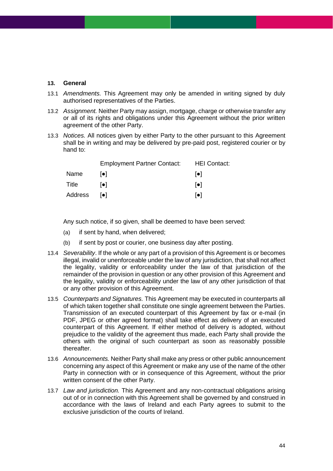#### <span id="page-43-0"></span>**13. General**

- 13.1 *Amendments.* This Agreement may only be amended in writing signed by duly authorised representatives of the Parties.
- 13.2 *Assignment.* Neither Party may assign, mortgage, charge or otherwise transfer any or all of its rights and obligations under this Agreement without the prior written agreement of the other Party.
- 13.3 *Notices.* All notices given by either Party to the other pursuant to this Agreement shall be in writing and may be delivered by pre-paid post, registered courier or by hand to:

|         | <b>Employment Partner Contact:</b> | <b>HEI Contact:</b>     |
|---------|------------------------------------|-------------------------|
| Name    | l●l.                               | $  \bullet  $           |
| Title   | lo I                               | $  \bullet  $           |
| Address | lo I                               | $\lceil \bullet \rceil$ |

Any such notice, if so given, shall be deemed to have been served:

- (a) if sent by hand, when delivered;
- (b) if sent by post or courier, one business day after posting.
- 13.4 *Severability*. If the whole or any part of a provision of this Agreement is or becomes illegal, invalid or unenforceable under the law of any jurisdiction, that shall not affect the legality, validity or enforceability under the law of that jurisdiction of the remainder of the provision in question or any other provision of this Agreement and the legality, validity or enforceability under the law of any other jurisdiction of that or any other provision of this Agreement.
- 13.5 *Counterparts and Signatures.* This Agreement may be executed in counterparts all of which taken together shall constitute one single agreement between the Parties. Transmission of an executed counterpart of this Agreement by fax or e-mail (in PDF, JPEG or other agreed format) shall take effect as delivery of an executed counterpart of this Agreement. If either method of delivery is adopted, without prejudice to the validity of the agreement thus made, each Party shall provide the others with the original of such counterpart as soon as reasonably possible thereafter.
- 13.6 *Announcements.* Neither Party shall make any press or other public announcement concerning any aspect of this Agreement or make any use of the name of the other Party in connection with or in consequence of this Agreement, without the prior written consent of the other Party.
- 13.7 *Law and jurisdiction.* This Agreement and any non-contractual obligations arising out of or in connection with this Agreement shall be governed by and construed in accordance with the laws of Ireland and each Party agrees to submit to the exclusive jurisdiction of the courts of Ireland.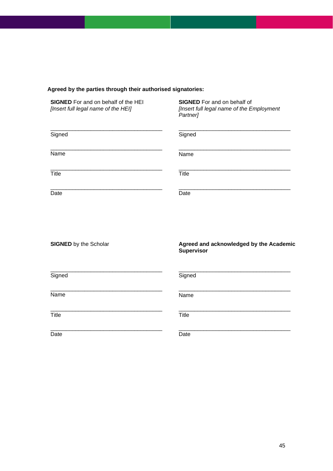### **Agreed by the parties through their authorised signatories:**

**SIGNED** For and on behalf of the HEI **SIGNED** For and on behalf of [Insert full legal name of the E

*[Insert full legal name of the HEI] [Insert full legal name of the Employment Partner]*

| Signed | Signed |
|--------|--------|
| Name   | Name   |
| Title  | Title  |
| Date   | Date   |

| <b>SIGNED</b> by the Scholar | Agreed and acknowledged by the Academic<br>Supervisor |
|------------------------------|-------------------------------------------------------|
| Signed                       | Signed                                                |
| Name                         | Name                                                  |
| <b>Title</b>                 | <b>Title</b>                                          |
| Date                         | Date                                                  |